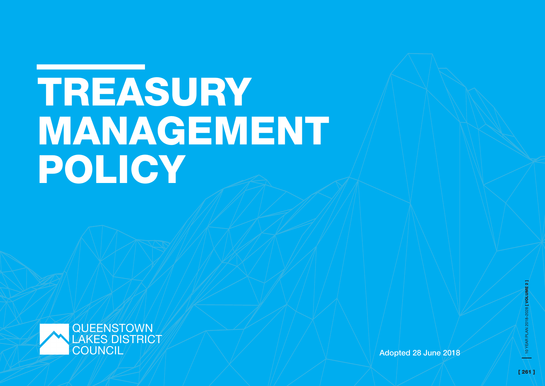# TREASURY MANAGEMENT POLICY



Adopted 28 June 2018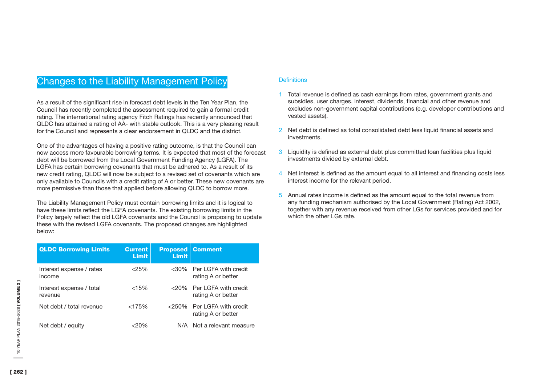# Changes to the Liability Management Policy

As a result of the significant rise in forecast debt levels in the Ten Year Plan, the Council has recently completed the assessment required to gain a formal credit rating. The international rating agency Fitch Ratings has recently announced that QLDC has attained a rating of AA- with stable outlook. This is a very pleasing result for the Council and represents a clear endorsement in QLDC and the district.

One of the advantages of having a positive rating outcome, is that the Council can now access more favourable borrowing terms. It is expected that most of the forecast debt will be borrowed from the Local Government Funding Agency (LGFA). The LGFA has certain borrowing covenants that must be adhered to. As a result of its new credit rating, QLDC will now be subject to a revised set of covenants which are only available to Councils with a credit rating of A or better. These new covenants are more permissive than those that applied before allowing QLDC to borrow more.

The Liability Management Policy must contain borrowing limits and it is logical to have these limits reflect the LGFA covenants. The existing borrowing limits in the Policy largely reflect the old LGFA covenants and the Council is proposing to update these with the revised LGFA covenants. The proposed changes are highlighted below:

| <b>QLDC Borrowing Limits</b>        | <b>Current</b><br><b>Limit</b> | <b>Limit</b> | <b>Proposed   Comment</b>                           |
|-------------------------------------|--------------------------------|--------------|-----------------------------------------------------|
| Interest expense / rates<br>income  | < 25%                          |              | <30% Per LGFA with credit<br>rating A or better     |
| Interest expense / total<br>revenue | $<15\%$                        |              | $<$ 20% Per I GFA with credit<br>rating A or better |
| Net debt / total revenue            | $<175\%$                       | $< 250\%$    | Per LGFA with credit<br>rating A or better          |
| Net debt / equity                   | <2በ%                           |              | N/A Not a relevant measure                          |

# **Definitions**

- 1 Total revenue is defined as cash earnings from rates, government grants and subsidies, user charges, interest, dividends, financial and other revenue and excludes non-government capital contributions (e.g. developer contributions and vested assets).
- 2 Net debt is defined as total consolidated debt less liquid financial assets and investments.
- 3 Liquidity is defined as external debt plus committed loan facilities plus liquid investments divided by external debt.
- 4 Net interest is defined as the amount equal to all interest and financing costs less interest income for the relevant period.
- 5 Annual rates income is defined as the amount equal to the total revenue from any funding mechanism authorised by the Local Government (Rating) Act 2002, together with any revenue received from other LGs for services provided and for which the other LGs rate.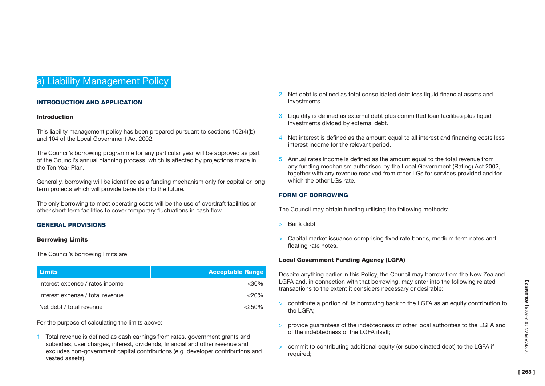# a) Liability Management Policy

# INTRODUCTION AND APPLICATION

#### Introduction

This liability management policy has been prepared pursuant to sections 102(4)(b) and 104 of the Local Government Act 2002.

The Council's borrowing programme for any particular year will be approved as part of the Council's annual planning process, which is affected by projections made in the Ten Year Plan.

Generally, borrowing will be identified as a funding mechanism only for capital or long term projects which will provide benefits into the future.

The only borrowing to meet operating costs will be the use of overdraft facilities or other short term facilities to cover temporary fluctuations in cash flow.

# GENERAL PROVISIONS

#### Borrowing Limits

The Council's borrowing limits are:

| Limits                           | <b>Acceptable Range</b> |
|----------------------------------|-------------------------|
| Interest expense / rates income  | $<$ 30%                 |
| Interest expense / total revenue | $<$ 20%                 |
| Net debt / total revenue         | $< 250\%$               |

For the purpose of calculating the limits above:

1 Total revenue is defined as cash earnings from rates, government grants and subsidies, user charges, interest, dividends, financial and other revenue and excludes non-government capital contributions (e.g. developer contributions and vested assets).

- 2 Net debt is defined as total consolidated debt less liquid financial assets and investments.
- 3 Liquidity is defined as external debt plus committed loan facilities plus liquid investments divided by external debt.
- 4 Net interest is defined as the amount equal to all interest and financing costs less interest income for the relevant period.
- 5 Annual rates income is defined as the amount equal to the total revenue from any funding mechanism authorised by the Local Government (Rating) Act 2002, together with any revenue received from other LGs for services provided and for which the other LGs rate.

# FORM OF BORROWING

The Council may obtain funding utilising the following methods:

- > Bank debt
- > Capital market issuance comprising fixed rate bonds, medium term notes and floating rate notes.

# Local Government Funding Agency (LGFA)

Despite anything earlier in this Policy, the Council may borrow from the New Zealand LGFA and, in connection with that borrowing, may enter into the following related transactions to the extent it considers necessary or desirable:

- > contribute a portion of its borrowing back to the LGFA as an equity contribution to the LGFA:
- > provide guarantees of the indebtedness of other local authorities to the LGFA and of the indebtedness of the LGFA itself;
- > commit to contributing additional equity (or subordinated debt) to the LGFA if required: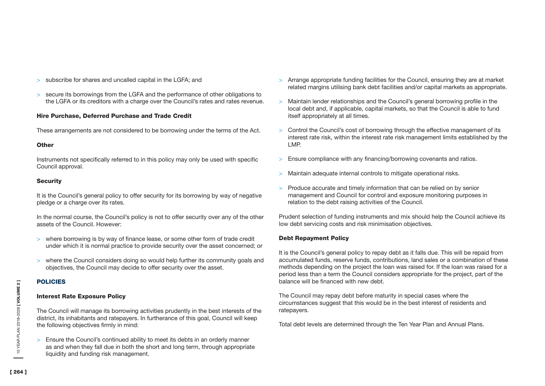- > subscribe for shares and uncalled capital in the LGFA; and
- > secure its borrowings from the LGFA and the performance of other obligations to the LGFA or its creditors with a charge over the Council's rates and rates revenue.

# Hire Purchase, Deferred Purchase and Trade Credit

These arrangements are not considered to be borrowing under the terms of the Act.

# **Other**

Instruments not specifically referred to in this policy may only be used with specific Council approval.

# **Security**

It is the Council's general policy to offer security for its borrowing by way of negative pledge or a charge over its rates.

In the normal course, the Council's policy is not to offer security over any of the other assets of the Council. However:

- > where borrowing is by way of finance lease, or some other form of trade credit under which it is normal practice to provide security over the asset concerned; or
- > where the Council considers doing so would help further its community goals and objectives, the Council may decide to offer security over the asset.

# POLICIES

# Interest Rate Exposure Policy

The Council will manage its borrowing activities prudently in the best interests of the district, its inhabitants and ratepayers. In furtherance of this goal, Council will keep the following objectives firmly in mind:

> Ensure the Council's continued ability to meet its debts in an orderly manner as and when they fall due in both the short and long term, through appropriate liquidity and funding risk management.

- > Arrange appropriate funding facilities for the Council, ensuring they are at market related margins utilising bank debt facilities and/or capital markets as appropriate.
- > Maintain lender relationships and the Council's general borrowing profile in the local debt and, if applicable, capital markets, so that the Council is able to fund itself appropriately at all times.
- > Control the Council's cost of borrowing through the effective management of its interest rate risk, within the interest rate risk management limits established by the LMP.
- > Ensure compliance with any financing/borrowing covenants and ratios.
- > Maintain adequate internal controls to mitigate operational risks.
- > Produce accurate and timely information that can be relied on by senior management and Council for control and exposure monitoring purposes in relation to the debt raising activities of the Council.

Prudent selection of funding instruments and mix should help the Council achieve its low debt servicing costs and risk minimisation objectives.

# Debt Repayment Policy

It is the Council's general policy to repay debt as it falls due. This will be repaid from accumulated funds, reserve funds, contributions, land sales or a combination of these methods depending on the project the loan was raised for. If the loan was raised for a period less than a term the Council considers appropriate for the project, part of the balance will be financed with new debt.

The Council may repay debt before maturity in special cases where the circumstances suggest that this would be in the best interest of residents and ratepayers.

Total debt levels are determined through the Ten Year Plan and Annual Plans.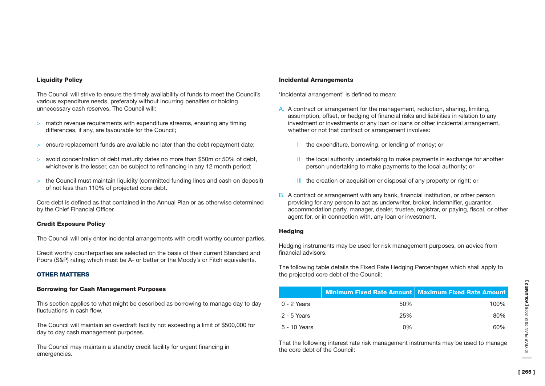#### Liquidity Policy

The Council will strive to ensure the timely availability of funds to meet the Council's various expenditure needs, preferably without incurring penalties or holding unnecessary cash reserves. The Council will:

- > match revenue requirements with expenditure streams, ensuring any timing differences, if any, are favourable for the Council;
- > ensure replacement funds are available no later than the debt repayment date;
- > avoid concentration of debt maturity dates no more than \$50m or 50% of debt, whichever is the lesser, can be subject to refinancing in any 12 month period;
- > the Council must maintain liquidity (committed funding lines and cash on deposit) of not less than 110% of projected core debt.

Core debt is defined as that contained in the Annual Plan or as otherwise determined by the Chief Financial Officer.

# Credit Exposure Policy

The Council will only enter incidental arrangements with credit worthy counter parties.

Credit worthy counterparties are selected on the basis of their current Standard and Poors (S&P) rating which must be A- or better or the Moody's or Fitch equivalents.

# OTHER MATTERS

# Borrowing for Cash Management Purposes

This section applies to what might be described as borrowing to manage day to day fluctuations in cash flow.

The Council will maintain an overdraft facility not exceeding a limit of \$500,000 for day to day cash management purposes.

The Council may maintain a standby credit facility for urgent financing in emergencies.

#### Incidental Arrangements

'Incidental arrangement' is defined to mean:

- A. A contract or arrangement for the management, reduction, sharing, limiting, assumption, offset, or hedging of financial risks and liabilities in relation to any investment or investments or any loan or loans or other incidental arrangement, whether or not that contract or arrangement involves:
	- I the expenditure, borrowing, or lending of money; or
	- II the local authority undertaking to make payments in exchange for another person undertaking to make payments to the local authority; or
	- III the creation or acquisition or disposal of any property or right; or
- B. A contract or arrangement with any bank, financial institution, or other person providing for any person to act as underwriter, broker, indemnifier, guarantor, accommodation party, manager, dealer, trustee, registrar, or paying, fiscal, or other agent for, or in connection with, any loan or investment.

# **Hedging**

Hedging instruments may be used for risk management purposes, on advice from financial advisors.

The following table details the Fixed Rate Hedging Percentages which shall apply to the projected core debt of the Council:

|              |       | Minimum Fixed Rate Amount   Maximum Fixed Rate Amount |
|--------------|-------|-------------------------------------------------------|
| 0 - 2 Years  | 50%   | 100%                                                  |
| 2 - 5 Years  | 25%   | 80%                                                   |
| 5 - 10 Years | $0\%$ | 60%                                                   |

That the following interest rate risk management instruments may be used to manage the core debt of the Council: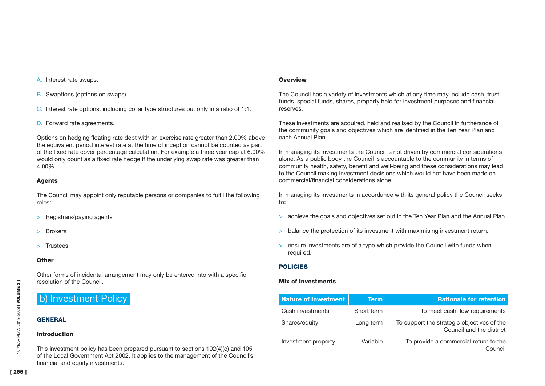- B. Swaptions (options on swaps).
- C. Interest rate options, including collar type structures but only in a ratio of 1:1.
- D. Forward rate agreements.

Options on hedging floating rate debt with an exercise rate greater than 2.00% above the equivalent period interest rate at the time of inception cannot be counted as part of the fixed rate cover percentage calculation. For example a three year cap at 6.00% would only count as a fixed rate hedge if the underlying swap rate was greater than 4.00%.

# Agents

The Council may appoint only reputable persons or companies to fulfil the following roles:

- > Registrars/paying agents
- > Brokers
- > Trustees

# **Other**

Other forms of incidental arrangement may only be entered into with a specific resolution of the Council.

# b) Investment Policy

# **GENERAL**

# Introduction

This investment policy has been prepared pursuant to sections 102(4)(c) and 105 of the Local Government Act 2002. It applies to the management of the Council's financial and equity investments.

# **Overview**

The Council has a variety of investments which at any time may include cash, trust funds, special funds, shares, property held for investment purposes and financial reserves.

These investments are acquired, held and realised by the Council in furtherance of the community goals and objectives which are identified in the Ten Year Plan and each Annual Plan.

In managing its investments the Council is not driven by commercial considerations alone. As a public body the Council is accountable to the community in terms of community health, safety, benefit and well-being and these considerations may lead to the Council making investment decisions which would not have been made on commercial/financial considerations alone.

In managing its investments in accordance with its general policy the Council seeks to:

- > achieve the goals and objectives set out in the Ten Year Plan and the Annual Plan.
- > balance the protection of its investment with maximising investment return.
- > ensure investments are of a type which provide the Council with funds when required.

# POLICIES

# Mix of Investments

| <b>Nature of Investment</b> | <b>Term</b> | <b>Rationale for retention</b>                                         |
|-----------------------------|-------------|------------------------------------------------------------------------|
| Cash investments            | Short term  | To meet cash flow requirements                                         |
| Shares/equity               | Long term   | To support the strategic objectives of the<br>Council and the district |
| Investment property         | Variable    | To provide a commercial return to the<br>Council                       |